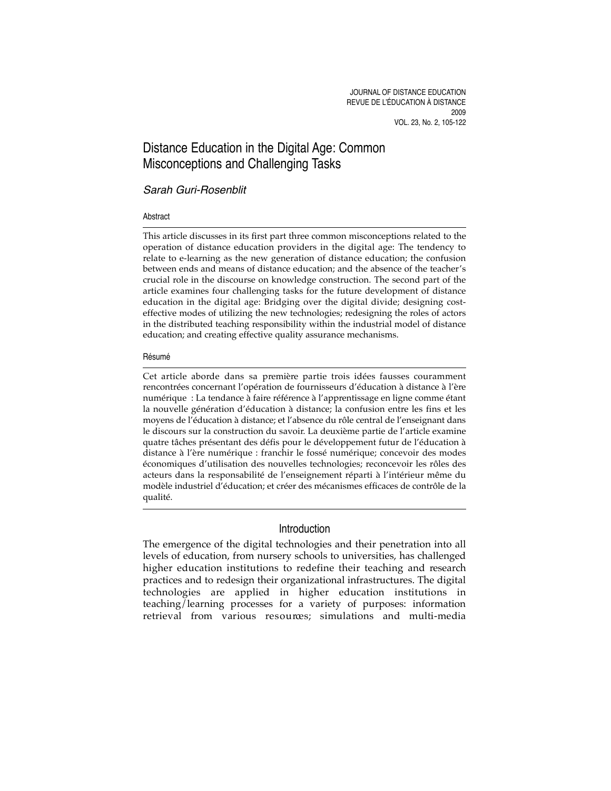# Distance Education in the Digital Age: Common Misconceptions and Challenging Tasks

## Sarah Guri-Rosenblit

## Abstract

This article discusses in its first part three common misconceptions related to the operation of distance education providers in the digital age: The tendency to relate to e-learning as the new generation of distance education; the confusion between ends and means of distance education; and the absence of the teacher's crucial role in the discourse on knowledge construction. The second part of the article examines four challenging tasks for the future development of distance education in the digital age: Bridging over the digital divide; designing costeffective modes of utilizing the new technologies; redesigning the roles of actors in the distributed teaching responsibility within the industrial model of distance education; and creating effective quality assurance mechanisms.

### Résumé

Cet article aborde dans sa première partie trois idées fausses couramment rencontrées concernant l'opération de fournisseurs d'éducation à distance à l'ère numérique : La tendance à faire référence à l'apprentissage en ligne comme étant la nouvelle génération d'éducation à distance; la confusion entre les fins et les moyens de l'éducation à distance; et l'absence du rôle central de l'enseignant dans le discours sur la construction du savoir. La deuxième partie de l'article examine quatre tâches présentant des défis pour le développement futur de l'éducation à distance à l'ère numérique : franchir le fossé numérique; concevoir des modes économiques d'utilisation des nouvelles technologies; reconcevoir les rôles des acteurs dans la responsabilité de l'enseignement réparti à l'intérieur même du modèle industriel d'éducation; et créer des mécanismes efficaces de contrôle de la qualité.

## Introduction

The emergence of the digital technologies and their penetration into all levels of education, from nursery schools to universities, has challenged higher education institutions to redefine their teaching and research practices and to redesign their organizational infrastructures. The digital technologies are applied in higher education institutions in teaching/learning processes for a variety of purposes: information retrieval from various resources; simulations and multi-media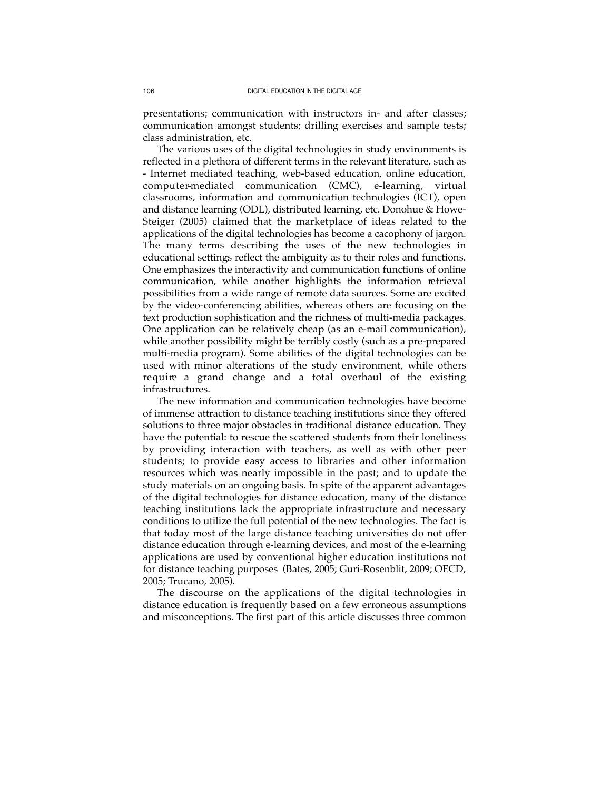presentations; communication with instructors in- and after classes; communication amongst students; drilling exercises and sample tests; class administration, etc.

The various uses of the digital technologies in study environments is reflected in a plethora of different terms in the relevant literature, such as - Internet mediated teaching, web-based education, online education, computer-mediated communication (CMC), e-learning, virtual classrooms, information and communication technologies (ICT), open and distance learning (ODL), distributed learning, etc. Donohue & Howe-Steiger (2005) claimed that the marketplace of ideas related to the applications of the digital technologies has become a cacophony of jargon. The many terms describing the uses of the new technologies in educational settings reflect the ambiguity as to their roles and functions. One emphasizes the interactivity and communication functions of online communication, while another highlights the information retrieval possibilities from a wide range of remote data sources. Some are excited by the video-conferencing abilities, whereas others are focusing on the text production sophistication and the richness of multi-media packages. One application can be relatively cheap (as an e-mail communication), while another possibility might be terribly costly (such as a pre-prepared multi-media program). Some abilities of the digital technologies can be used with minor alterations of the study environment, while others require a grand change and a total overhaul of the existing infrastructures.

The new information and communication technologies have become of immense attraction to distance teaching institutions since they offered solutions to three major obstacles in traditional distance education. They have the potential: to rescue the scattered students from their loneliness by providing interaction with teachers, as well as with other peer students; to provide easy access to libraries and other information resources which was nearly impossible in the past; and to update the study materials on an ongoing basis. In spite of the apparent advantages of the digital technologies for distance education, many of the distance teaching institutions lack the appropriate infrastructure and necessary conditions to utilize the full potential of the new technologies. The fact is that today most of the large distance teaching universities do not offer distance education through e-learning devices, and most of the e-learning applications are used by conventional higher education institutions not for distance teaching purposes (Bates, 2005; Guri-Rosenblit, 2009; OECD, 2005; Trucano, 2005).

The discourse on the applications of the digital technologies in distance education is frequently based on a few erroneous assumptions and misconceptions. The first part of this article discusses three common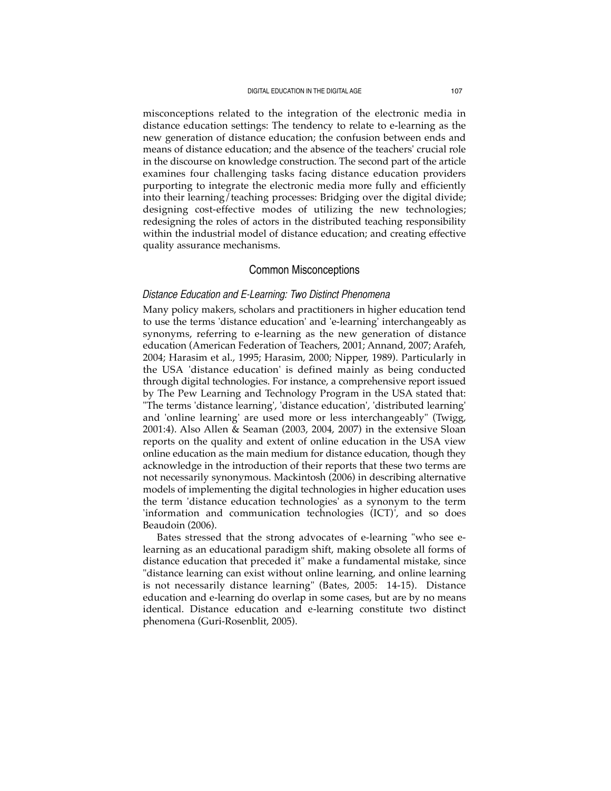misconceptions related to the integration of the electronic media in distance education settings: The tendency to relate to e-learning as the new generation of distance education; the confusion between ends and means of distance education; and the absence of the teachers' crucial role in the discourse on knowledge construction. The second part of the article examines four challenging tasks facing distance education providers purporting to integrate the electronic media more fully and efficiently into their learning/teaching processes: Bridging over the digital divide; designing cost-effective modes of utilizing the new technologies; redesigning the roles of actors in the distributed teaching responsibility within the industrial model of distance education; and creating effective quality assurance mechanisms.

## Common Misconceptions

## *Distance Education and E-Learning: Two Distinct Phenomena*

Many policy makers, scholars and practitioners in higher education tend to use the terms 'distance education' and 'e-learning' interchangeably as synonyms, referring to e-learning as the new generation of distance education (American Federation of Teachers, 2001; Annand, 2007; Arafeh, 2004; Harasim et al., 1995; Harasim, 2000; Nipper, 1989). Particularly in the USA 'distance education' is defined mainly as being conducted through digital technologies. For instance, a comprehensive report issued by The Pew Learning and Technology Program in the USA stated that: "The terms 'distance learning', 'distance education', 'distributed learning' and 'online learning' are used more or less interchangeably" (Twigg, 2001:4). Also Allen & Seaman (2003, 2004, 2007) in the extensive Sloan reports on the quality and extent of online education in the USA view online education as the main medium for distance education, though they acknowledge in the introduction of their reports that these two terms are not necessarily synonymous. Mackintosh (2006) in describing alternative models of implementing the digital technologies in higher education uses the term 'distance education technologies' as a synonym to the term 'information and communication technologies (ICT)', and so does Beaudoin (2006).

Bates stressed that the strong advocates of e-learning "who see elearning as an educational paradigm shift, making obsolete all forms of distance education that preceded it" make a fundamental mistake, since "distance learning can exist without online learning, and online learning is not necessarily distance learning" (Bates, 2005: 14-15). Distance education and e-learning do overlap in some cases, but are by no means identical. Distance education and e-learning constitute two distinct phenomena (Guri-Rosenblit, 2005).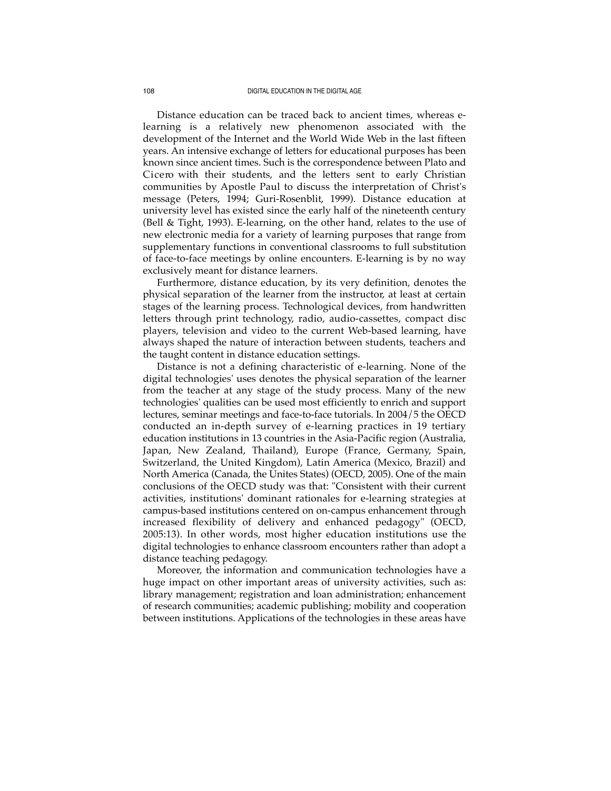Distance education can be traced back to ancient times, whereas elearning is a relatively new phenomenon associated with the development of the Internet and the World Wide Web in the last fifteen years. An intensive exchange of letters for educational purposes has been known since ancient times. Such is the correspondence between Plato and Cicero with their students, and the letters sent to early Christian communities by Apostle Paul to discuss the interpretation of Christ's message (Peters, 1994; Guri-Rosenblit, 1999). Distance education at university level has existed since the early half of the nineteenth century (Bell & Tight, 1993). E-learning, on the other hand, relates to the use of new electronic media for a variety of learning purposes that range from supplementary functions in conventional classrooms to full substitution of face-to-face meetings by online encounters. E-learning is by no way exclusively meant for distance learners.

Furthermore, distance education, by its very definition, denotes the physical separation of the learner from the instructor, at least at certain stages of the learning process. Technological devices, from handwritten letters through print technology, radio, audio-cassettes, compact disc players, television and video to the current Web-based learning, have always shaped the nature of interaction between students, teachers and the taught content in distance education settings.

Distance is not a defining characteristic of e-learning. None of the digital technologies' uses denotes the physical separation of the learner from the teacher at any stage of the study process. Many of the new technologies' qualities can be used most efficiently to enrich and support lectures, seminar meetings and face-to-face tutorials. In 2004/5 the OECD conducted an in-depth survey of e-learning practices in 19 tertiary education institutions in 13 countries in the Asia-Pacific region (Australia, Japan, New Zealand, Thailand), Europe (France, Germany, Spain, Switzerland, the United Kingdom), Latin America (Mexico, Brazil) and North America (Canada, the Unites States) (OECD, 2005). One of the main conclusions of the OECD study was that: "Consistent with their current activities, institutions' dominant rationales for e-learning strategies at campus-based institutions centered on on-campus enhancement through increased flexibility of delivery and enhanced pedagogy" (OECD, 2005:13). In other words, most higher education institutions use the digital technologies to enhance classroom encounters rather than adopt a distance teaching pedagogy.

Moreover, the information and communication technologies have a huge impact on other important areas of university activities, such as: library management; registration and loan administration; enhancement of research communities; academic publishing; mobility and cooperation between institutions. Applications of the technologies in these areas have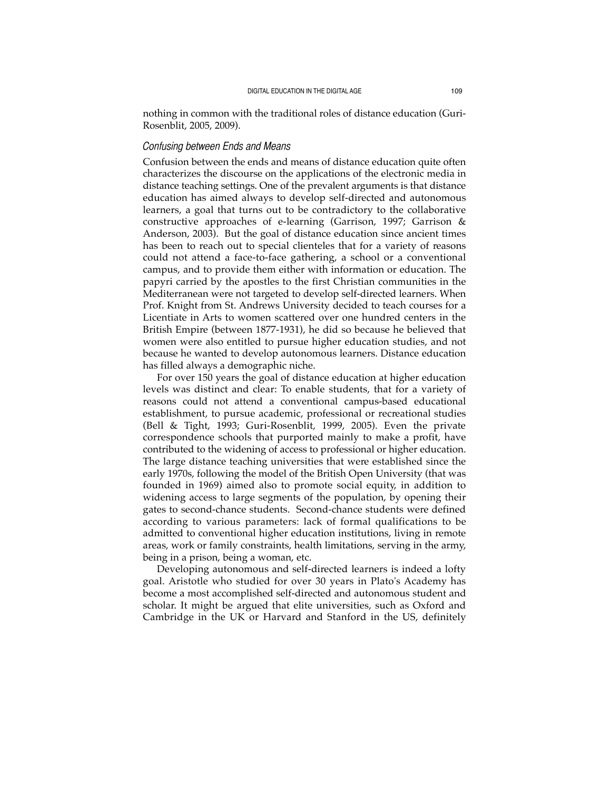nothing in common with the traditional roles of distance education (Guri-Rosenblit, 2005, 2009).

## *Confusing between Ends and Means*

Confusion between the ends and means of distance education quite often characterizes the discourse on the applications of the electronic media in distance teaching settings. One of the prevalent arguments is that distance education has aimed always to develop self-directed and autonomous learners, a goal that turns out to be contradictory to the collaborative constructive approaches of e-learning (Garrison, 1997; Garrison  $\&$ Anderson, 2003). But the goal of distance education since ancient times has been to reach out to special clienteles that for a variety of reasons could not attend a face-to-face gathering, a school or a conventional campus, and to provide them either with information or education. The papyri carried by the apostles to the first Christian communities in the Mediterranean were not targeted to develop self-directed learners. When Prof. Knight from St. Andrews University decided to teach courses for a Licentiate in Arts to women scattered over one hundred centers in the British Empire (between 1877-1931), he did so because he believed that women were also entitled to pursue higher education studies, and not because he wanted to develop autonomous learners. Distance education has filled always a demographic niche.

For over 150 years the goal of distance education at higher education levels was distinct and clear: To enable students, that for a variety of reasons could not attend a conventional campus-based educational establishment, to pursue academic, professional or recreational studies (Bell & Tight, 1993; Guri-Rosenblit, 1999, 2005). Even the private correspondence schools that purported mainly to make a profit, have contributed to the widening of access to professional or higher education. The large distance teaching universities that were established since the early 1970s, following the model of the British Open University (that was founded in 1969) aimed also to promote social equity, in addition to widening access to large segments of the population, by opening their gates to second-chance students. Second-chance students were defined according to various parameters: lack of formal qualifications to be admitted to conventional higher education institutions, living in remote areas, work or family constraints, health limitations, serving in the army, being in a prison, being a woman, etc.

Developing autonomous and self-directed learners is indeed a lofty goal. Aristotle who studied for over 30 years in Plato's Academy has become a most accomplished self-directed and autonomous student and scholar. It might be argued that elite universities, such as Oxford and Cambridge in the UK or Harvard and Stanford in the US, definitely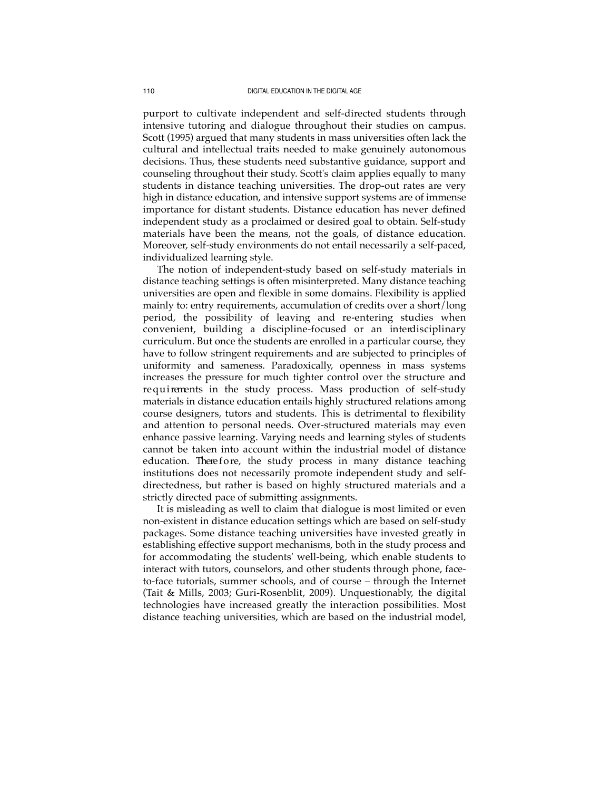purport to cultivate independent and self-directed students through intensive tutoring and dialogue throughout their studies on campus. Scott (1995) argued that many students in mass universities often lack the cultural and intellectual traits needed to make genuinely autonomous decisions. Thus, these students need substantive guidance, support and counseling throughout their study. Scott's claim applies equally to many students in distance teaching universities. The drop-out rates are very high in distance education, and intensive support systems are of immense importance for distant students. Distance education has never defined independent study as a proclaimed or desired goal to obtain. Self-study materials have been the means, not the goals, of distance education. Moreover, self-study environments do not entail necessarily a self-paced, individualized learning style.

The notion of independent-study based on self-study materials in distance teaching settings is often misinterpreted. Many distance teaching universities are open and flexible in some domains. Flexibility is applied mainly to: entry requirements, accumulation of credits over a short/long period, the possibility of leaving and re-entering studies when convenient, building a discipline-focused or an interdisciplinary curriculum. But once the students are enrolled in a particular course, they have to follow stringent requirements and are subjected to principles of uniformity and sameness. Paradoxically, openness in mass systems increases the pressure for much tighter control over the structure and requirements in the study process. Mass production of self-study materials in distance education entails highly structured relations among course designers, tutors and students. This is detrimental to flexibility and attention to personal needs. Over-structured materials may even enhance passive learning. Varying needs and learning styles of students cannot be taken into account within the industrial model of distance education. There fore, the study process in many distance teaching institutions does not necessarily promote independent study and selfdirectedness, but rather is based on highly structured materials and a strictly directed pace of submitting assignments.

It is misleading as well to claim that dialogue is most limited or even non-existent in distance education settings which are based on self-study packages. Some distance teaching universities have invested greatly in establishing effective support mechanisms, both in the study process and for accommodating the students' well-being, which enable students to interact with tutors, counselors, and other students through phone, faceto-face tutorials, summer schools, and of course – through the Internet (Tait & Mills, 2003; Guri-Rosenblit, 2009). Unquestionably, the digital technologies have increased greatly the interaction possibilities. Most distance teaching universities, which are based on the industrial model,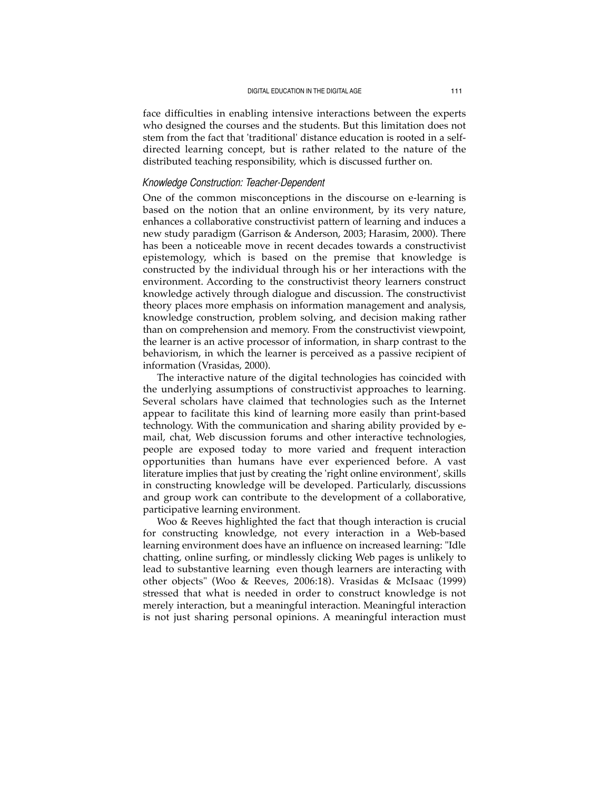face difficulties in enabling intensive interactions between the experts who designed the courses and the students. But this limitation does not stem from the fact that 'traditional' distance education is rooted in a selfdirected learning concept, but is rather related to the nature of the distributed teaching responsibility, which is discussed further on.

## *Knowledge Construction: Teacher-Dependent*

One of the common misconceptions in the discourse on e-learning is based on the notion that an online environment, by its very nature, enhances a collaborative constructivist pattern of learning and induces a new study paradigm (Garrison & Anderson, 2003; Harasim, 2000). There has been a noticeable move in recent decades towards a constructivist epistemology, which is based on the premise that knowledge is constructed by the individual through his or her interactions with the environment. According to the constructivist theory learners construct knowledge actively through dialogue and discussion. The constructivist theory places more emphasis on information management and analysis, knowledge construction, problem solving, and decision making rather than on comprehension and memory. From the constructivist viewpoint, the learner is an active processor of information, in sharp contrast to the behaviorism, in which the learner is perceived as a passive recipient of information (Vrasidas, 2000).

The interactive nature of the digital technologies has coincided with the underlying assumptions of constructivist approaches to learning. Several scholars have claimed that technologies such as the Internet appear to facilitate this kind of learning more easily than print-based technology. With the communication and sharing ability provided by email, chat, Web discussion forums and other interactive technologies, people are exposed today to more varied and frequent interaction opportunities than humans have ever experienced before. A vast literature implies that just by creating the 'right online environment', skills in constructing knowledge will be developed. Particularly, discussions and group work can contribute to the development of a collaborative, participative learning environment.

Woo & Reeves highlighted the fact that though interaction is crucial for constructing knowledge, not every interaction in a Web-based learning environment does have an influence on increased learning: "Idle chatting, online surfing, or mindlessly clicking Web pages is unlikely to lead to substantive learning even though learners are interacting with other objects" (Woo & Reeves, 2006:18). Vrasidas & McIsaac (1999) stressed that what is needed in order to construct knowledge is not merely interaction, but a meaningful interaction. Meaningful interaction is not just sharing personal opinions. A meaningful interaction must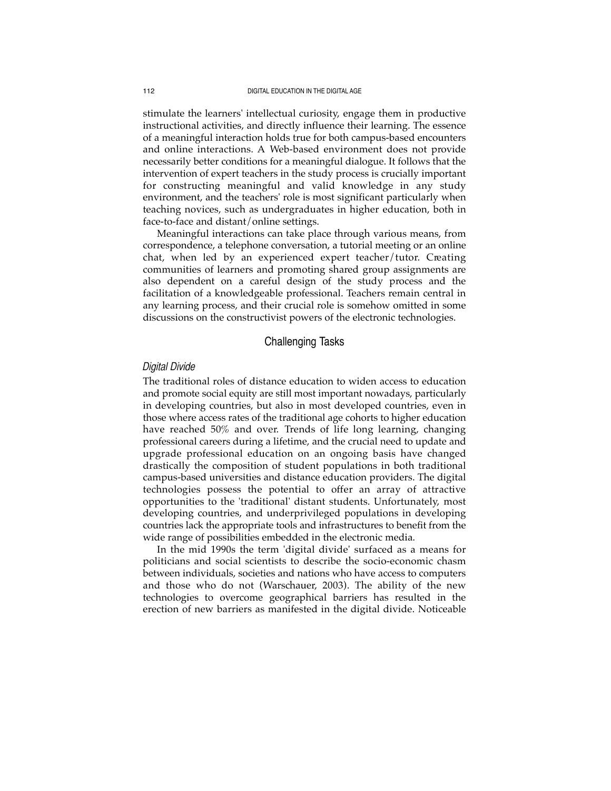stimulate the learners' intellectual curiosity, engage them in productive instructional activities, and directly influence their learning. The essence of a meaningful interaction holds true for both campus-based encounters and online interactions. A Web-based environment does not provide necessarily better conditions for a meaningful dialogue. It follows that the intervention of expert teachers in the study process is crucially important for constructing meaningful and valid knowledge in any study environment, and the teachers' role is most significant particularly when teaching novices, such as undergraduates in higher education, both in face-to-face and distant/online settings.

Meaningful interactions can take place through various means, from correspondence, a telephone conversation, a tutorial meeting or an online chat, when led by an experienced expert teacher/tutor. Creating communities of learners and promoting shared group assignments are also dependent on a careful design of the study process and the facilitation of a knowledgeable professional. Teachers remain central in any learning process, and their crucial role is somehow omitted in some discussions on the constructivist powers of the electronic technologies.

## Challenging Tasks

### *Digital Divide*

The traditional roles of distance education to widen access to education and promote social equity are still most important nowadays, particularly in developing countries, but also in most developed countries, even in those where access rates of the traditional age cohorts to higher education have reached 50% and over. Trends of life long learning, changing professional careers during a lifetime, and the crucial need to update and upgrade professional education on an ongoing basis have changed drastically the composition of student populations in both traditional campus-based universities and distance education providers. The digital technologies possess the potential to offer an array of attractive opportunities to the 'traditional' distant students. Unfortunately, most developing countries, and underprivileged populations in developing countries lack the appropriate tools and infrastructures to benefit from the wide range of possibilities embedded in the electronic media.

In the mid 1990s the term 'digital divide' surfaced as a means for politicians and social scientists to describe the socio-economic chasm between individuals, societies and nations who have access to computers and those who do not (Warschauer, 2003). The ability of the new technologies to overcome geographical barriers has resulted in the erection of new barriers as manifested in the digital divide. Noticeable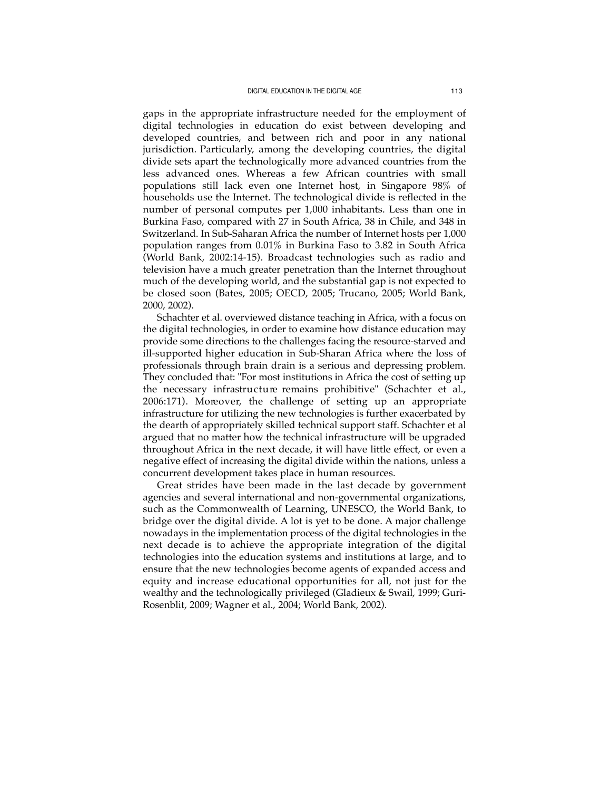gaps in the appropriate infrastructure needed for the employment of digital technologies in education do exist between developing and developed countries, and between rich and poor in any national jurisdiction. Particularly, among the developing countries, the digital divide sets apart the technologically more advanced countries from the less advanced ones. Whereas a few African countries with small populations still lack even one Internet host, in Singapore 98% of households use the Internet. The technological divide is reflected in the number of personal computes per 1,000 inhabitants. Less than one in Burkina Faso, compared with 27 in South Africa, 38 in Chile, and 348 in Switzerland. In Sub-Saharan Africa the number of Internet hosts per 1,000 population ranges from 0.01% in Burkina Faso to 3.82 in South Africa (World Bank, 2002:14-15). Broadcast technologies such as radio and television have a much greater penetration than the Internet throughout much of the developing world, and the substantial gap is not expected to be closed soon (Bates, 2005; OECD, 2005; Trucano, 2005; World Bank, 2000, 2002).

Schachter et al. overviewed distance teaching in Africa, with a focus on the digital technologies, in order to examine how distance education may provide some directions to the challenges facing the resource-starved and ill-supported higher education in Sub-Sharan Africa where the loss of professionals through brain drain is a serious and depressing problem. They concluded that: "For most institutions in Africa the cost of setting up the necessary infrastructure remains prohibitive" (Schachter et al., 2006:171). Moreover, the challenge of setting up an appropriate infrastructure for utilizing the new technologies is further exacerbated by the dearth of appropriately skilled technical support staff. Schachter et al argued that no matter how the technical infrastructure will be upgraded throughout Africa in the next decade, it will have little effect, or even a negative effect of increasing the digital divide within the nations, unless a concurrent development takes place in human resources.

Great strides have been made in the last decade by government agencies and several international and non-governmental organizations, such as the Commonwealth of Learning, UNESCO, the World Bank, to bridge over the digital divide. A lot is yet to be done. A major challenge nowadays in the implementation process of the digital technologies in the next decade is to achieve the appropriate integration of the digital technologies into the education systems and institutions at large, and to ensure that the new technologies become agents of expanded access and equity and increase educational opportunities for all, not just for the wealthy and the technologically privileged (Gladieux & Swail, 1999; Guri-Rosenblit, 2009; Wagner et al., 2004; World Bank, 2002).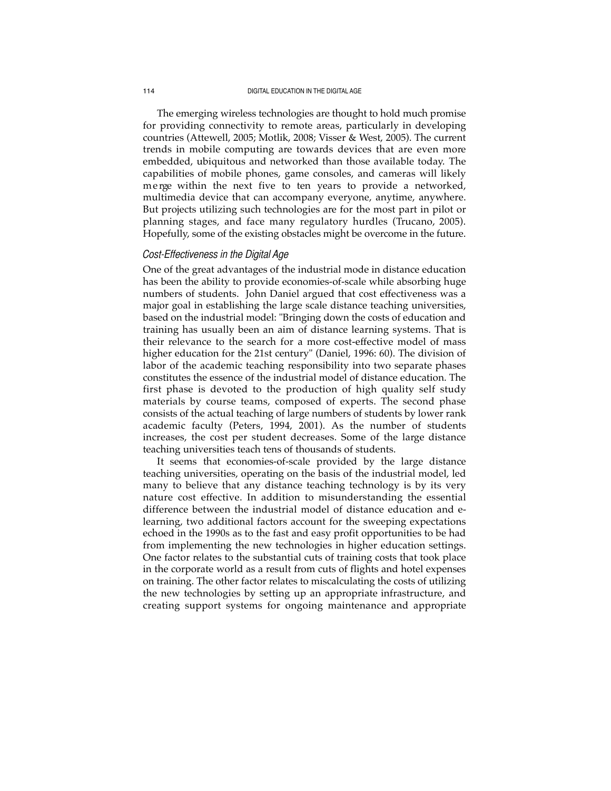The emerging wireless technologies are thought to hold much promise for providing connectivity to remote areas, particularly in developing countries (Attewell, 2005; Motlik, 2008; Visser & West, 2005). The current trends in mobile computing are towards devices that are even more embedded, ubiquitous and networked than those available today. The capabilities of mobile phones, game consoles, and cameras will likely merge within the next five to ten years to provide a networked, multimedia device that can accompany everyone, anytime, anywhere. But projects utilizing such technologies are for the most part in pilot or planning stages, and face many regulatory hurdles (Trucano, 2005). Hopefully, some of the existing obstacles might be overcome in the future.

## *Cost-Effectiveness in the Digital Age*

One of the great advantages of the industrial mode in distance education has been the ability to provide economies-of-scale while absorbing huge numbers of students. John Daniel argued that cost effectiveness was a major goal in establishing the large scale distance teaching universities, based on the industrial model: "Bringing down the costs of education and training has usually been an aim of distance learning systems. That is their relevance to the search for a more cost-effective model of mass higher education for the 21st century" (Daniel, 1996: 60). The division of labor of the academic teaching responsibility into two separate phases constitutes the essence of the industrial model of distance education. The first phase is devoted to the production of high quality self study materials by course teams, composed of experts. The second phase consists of the actual teaching of large numbers of students by lower rank academic faculty (Peters, 1994, 2001). As the number of students increases, the cost per student decreases. Some of the large distance teaching universities teach tens of thousands of students.

It seems that economies-of-scale provided by the large distance teaching universities, operating on the basis of the industrial model, led many to believe that any distance teaching technology is by its very nature cost effective. In addition to misunderstanding the essential difference between the industrial model of distance education and elearning, two additional factors account for the sweeping expectations echoed in the 1990s as to the fast and easy profit opportunities to be had from implementing the new technologies in higher education settings. One factor relates to the substantial cuts of training costs that took place in the corporate world as a result from cuts of flights and hotel expenses on training. The other factor relates to miscalculating the costs of utilizing the new technologies by setting up an appropriate infrastructure, and creating support systems for ongoing maintenance and appropriate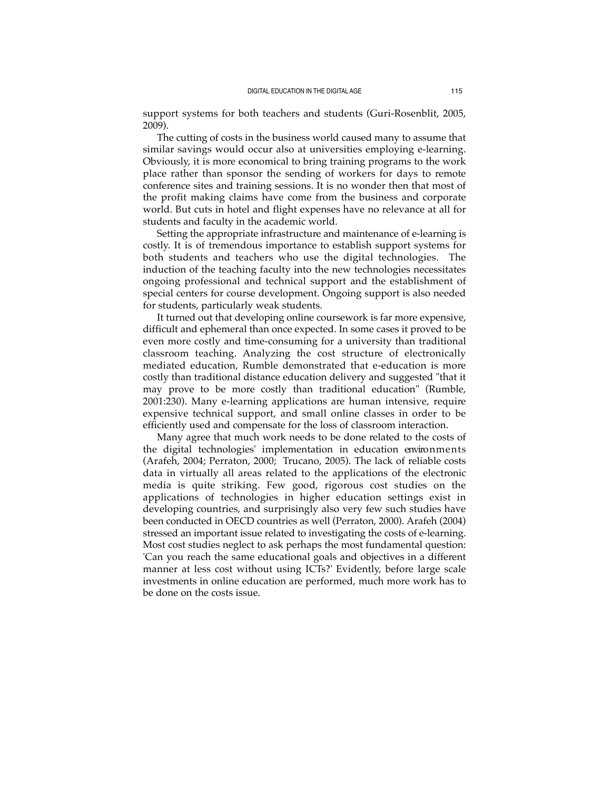support systems for both teachers and students (Guri-Rosenblit, 2005, 2009).

The cutting of costs in the business world caused many to assume that similar savings would occur also at universities employing e-learning. Obviously, it is more economical to bring training programs to the work place rather than sponsor the sending of workers for days to remote conference sites and training sessions. It is no wonder then that most of the profit making claims have come from the business and corporate world. But cuts in hotel and flight expenses have no relevance at all for students and faculty in the academic world.

Setting the appropriate infrastructure and maintenance of e-learning is costly. It is of tremendous importance to establish support systems for both students and teachers who use the digital technologies. The induction of the teaching faculty into the new technologies necessitates ongoing professional and technical support and the establishment of special centers for course development. Ongoing support is also needed for students, particularly weak students.

It turned out that developing online coursework is far more expensive, difficult and ephemeral than once expected. In some cases it proved to be even more costly and time-consuming for a university than traditional classroom teaching. Analyzing the cost structure of electronically mediated education, Rumble demonstrated that e-education is more costly than traditional distance education delivery and suggested "that it may prove to be more costly than traditional education" (Rumble, 2001:230). Many e-learning applications are human intensive, require expensive technical support, and small online classes in order to be efficiently used and compensate for the loss of classroom interaction.

Many agree that much work needs to be done related to the costs of the digital technologies' implementation in education environments (Arafeh, 2004; Perraton, 2000; Trucano, 2005). The lack of reliable costs data in virtually all areas related to the applications of the electronic media is quite striking. Few good, rigorous cost studies on the applications of technologies in higher education settings exist in developing countries, and surprisingly also very few such studies have been conducted in OECD countries as well (Perraton, 2000). Arafeh (2004) stressed an important issue related to investigating the costs of e-learning. Most cost studies neglect to ask perhaps the most fundamental question: 'Can you reach the same educational goals and objectives in a different manner at less cost without using ICTs?' Evidently, before large scale investments in online education are performed, much more work has to be done on the costs issue.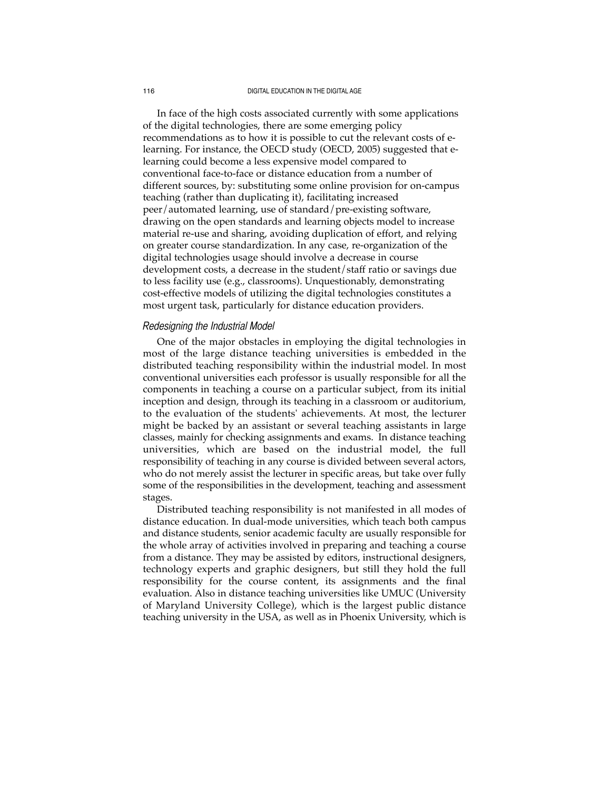In face of the high costs associated currently with some applications of the digital technologies, there are some emerging policy recommendations as to how it is possible to cut the relevant costs of elearning. For instance, the OECD study (OECD, 2005) suggested that elearning could become a less expensive model compared to conventional face-to-face or distance education from a number of different sources, by: substituting some online provision for on-campus teaching (rather than duplicating it), facilitating increased peer/automated learning, use of standard/pre-existing software, drawing on the open standards and learning objects model to increase material re-use and sharing, avoiding duplication of effort, and relying on greater course standardization. In any case, re-organization of the digital technologies usage should involve a decrease in course development costs, a decrease in the student/staff ratio or savings due to less facility use (e.g., classrooms). Unquestionably, demonstrating cost-effective models of utilizing the digital technologies constitutes a most urgent task, particularly for distance education providers.

### *Redesigning the Industrial Model*

One of the major obstacles in employing the digital technologies in most of the large distance teaching universities is embedded in the distributed teaching responsibility within the industrial model. In most conventional universities each professor is usually responsible for all the components in teaching a course on a particular subject, from its initial inception and design, through its teaching in a classroom or auditorium, to the evaluation of the students' achievements. At most, the lecturer might be backed by an assistant or several teaching assistants in large classes, mainly for checking assignments and exams. In distance teaching universities, which are based on the industrial model, the full responsibility of teaching in any course is divided between several actors, who do not merely assist the lecturer in specific areas, but take over fully some of the responsibilities in the development, teaching and assessment stages.

Distributed teaching responsibility is not manifested in all modes of distance education. In dual-mode universities, which teach both campus and distance students, senior academic faculty are usually responsible for the whole array of activities involved in preparing and teaching a course from a distance. They may be assisted by editors, instructional designers, technology experts and graphic designers, but still they hold the full responsibility for the course content, its assignments and the final evaluation. Also in distance teaching universities like UMUC (University of Maryland University College), which is the largest public distance teaching university in the USA, as well as in Phoenix University, which is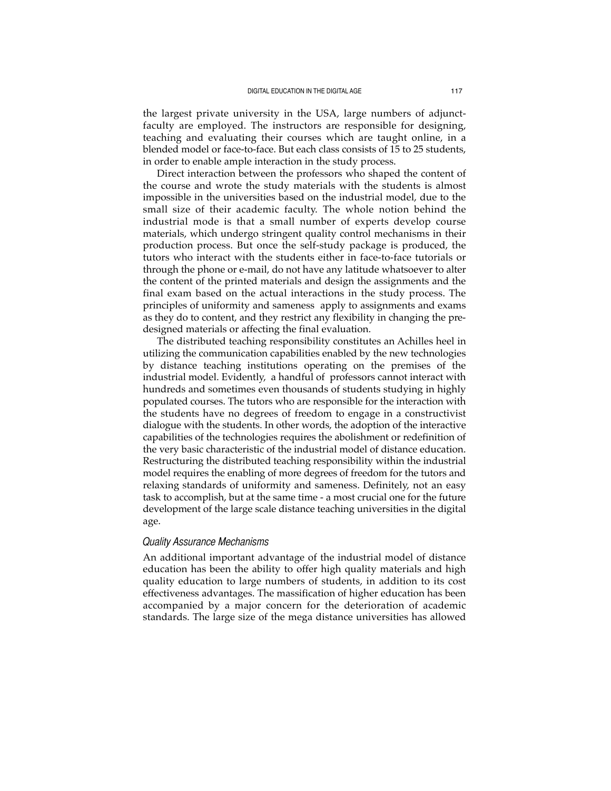the largest private university in the USA, large numbers of adjunctfaculty are employed. The instructors are responsible for designing, teaching and evaluating their courses which are taught online, in a blended model or face-to-face. But each class consists of 15 to 25 students, in order to enable ample interaction in the study process.

Direct interaction between the professors who shaped the content of the course and wrote the study materials with the students is almost impossible in the universities based on the industrial model, due to the small size of their academic faculty. The whole notion behind the industrial mode is that a small number of experts develop course materials, which undergo stringent quality control mechanisms in their production process. But once the self-study package is produced, the tutors who interact with the students either in face-to-face tutorials or through the phone or e-mail, do not have any latitude whatsoever to alter the content of the printed materials and design the assignments and the final exam based on the actual interactions in the study process. The principles of uniformity and sameness apply to assignments and exams as they do to content, and they restrict any flexibility in changing the predesigned materials or affecting the final evaluation.

The distributed teaching responsibility constitutes an Achilles heel in utilizing the communication capabilities enabled by the new technologies by distance teaching institutions operating on the premises of the industrial model. Evidently, a handful of professors cannot interact with hundreds and sometimes even thousands of students studying in highly populated courses. The tutors who are responsible for the interaction with the students have no degrees of freedom to engage in a constructivist dialogue with the students. In other words, the adoption of the interactive capabilities of the technologies requires the abolishment or redefinition of the very basic characteristic of the industrial model of distance education. Restructuring the distributed teaching responsibility within the industrial model requires the enabling of more degrees of freedom for the tutors and relaxing standards of uniformity and sameness. Definitely, not an easy task to accomplish, but at the same time - a most crucial one for the future development of the large scale distance teaching universities in the digital age.

## *Quality Assurance Mechanisms*

An additional important advantage of the industrial model of distance education has been the ability to offer high quality materials and high quality education to large numbers of students, in addition to its cost effectiveness advantages. The massification of higher education has been accompanied by a major concern for the deterioration of academic standards. The large size of the mega distance universities has allowed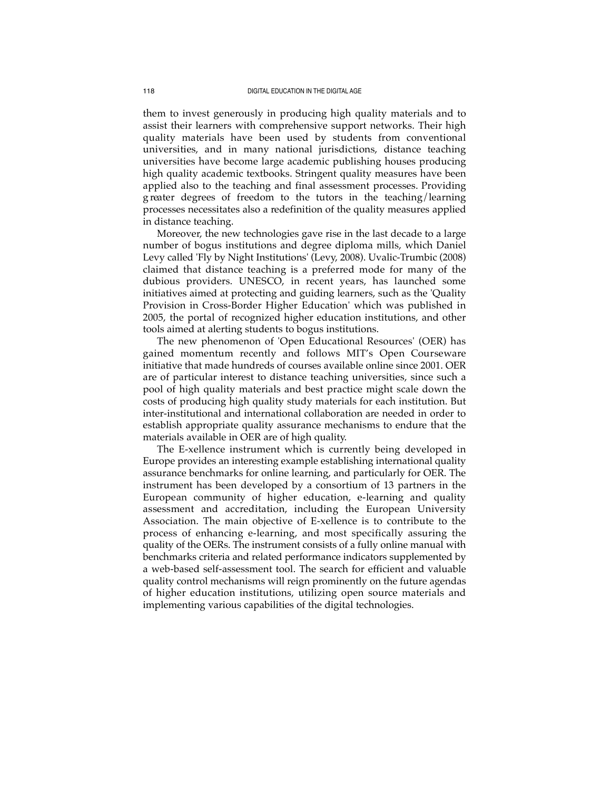them to invest generously in producing high quality materials and to assist their learners with comprehensive support networks. Their high quality materials have been used by students from conventional universities, and in many national jurisdictions, distance teaching universities have become large academic publishing houses producing high quality academic textbooks. Stringent quality measures have been applied also to the teaching and final assessment processes. Providing g reater degrees of freedom to the tutors in the teaching/learning processes necessitates also a redefinition of the quality measures applied in distance teaching.

Moreover, the new technologies gave rise in the last decade to a large number of bogus institutions and degree diploma mills, which Daniel Levy called 'Fly by Night Institutions' (Levy, 2008). Uvalic-Trumbic (2008) claimed that distance teaching is a preferred mode for many of the dubious providers. UNESCO, in recent years, has launched some initiatives aimed at protecting and guiding learners, such as the 'Quality Provision in Cross-Border Higher Education' which was published in 2005, the portal of recognized higher education institutions, and other tools aimed at alerting students to bogus institutions.

The new phenomenon of 'Open Educational Resources' (OER) has gained momentum recently and follows MIT's Open Courseware initiative that made hundreds of courses available online since 2001. OER are of particular interest to distance teaching universities, since such a pool of high quality materials and best practice might scale down the costs of producing high quality study materials for each institution. But inter-institutional and international collaboration are needed in order to establish appropriate quality assurance mechanisms to endure that the materials available in OER are of high quality.

The E-xellence instrument which is currently being developed in Europe provides an interesting example establishing international quality assurance benchmarks for online learning, and particularly for OER. The instrument has been developed by a consortium of 13 partners in the European community of higher education, e-learning and quality assessment and accreditation, including the European University Association. The main objective of E-xellence is to contribute to the process of enhancing e-learning, and most specifically assuring the quality of the OERs. The instrument consists of a fully online manual with benchmarks criteria and related performance indicators supplemented by a web-based self-assessment tool. The search for efficient and valuable quality control mechanisms will reign prominently on the future agendas of higher education institutions, utilizing open source materials and implementing various capabilities of the digital technologies.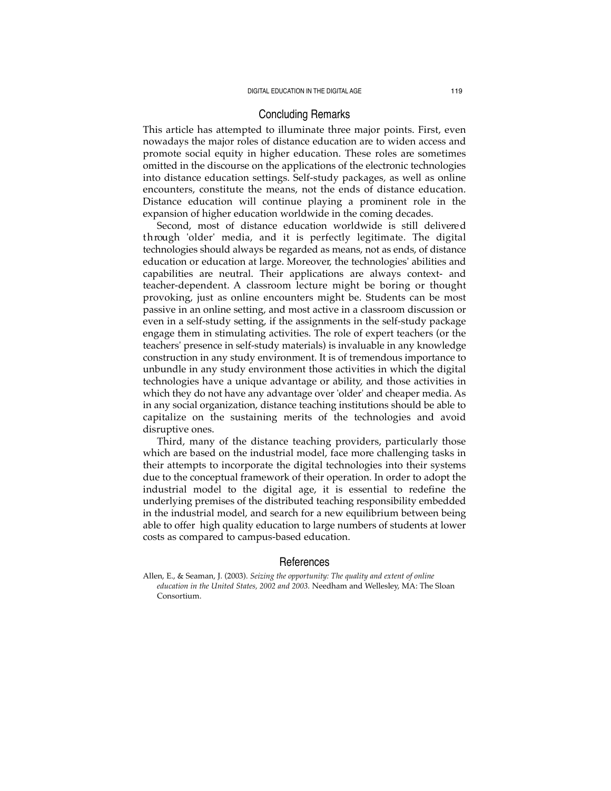## Concluding Remarks

This article has attempted to illuminate three major points. First, even nowadays the major roles of distance education are to widen access and promote social equity in higher education. These roles are sometimes omitted in the discourse on the applications of the electronic technologies into distance education settings. Self-study packages, as well as online encounters, constitute the means, not the ends of distance education. Distance education will continue playing a prominent role in the expansion of higher education worldwide in the coming decades.

Second, most of distance education worldwide is still delivere d t h rough 'older' media, and it is perfectly legitimate. The digital technologies should always be regarded as means, not as ends, of distance education or education at large. Moreover, the technologies' abilities and capabilities are neutral. Their applications are always context- and teacher-dependent. A classroom lecture might be boring or thought provoking, just as online encounters might be. Students can be most passive in an online setting, and most active in a classroom discussion or even in a self-study setting, if the assignments in the self-study package engage them in stimulating activities. The role of expert teachers (or the teachers' presence in self-study materials) is invaluable in any knowledge construction in any study environment. It is of tremendous importance to unbundle in any study environment those activities in which the digital technologies have a unique advantage or ability, and those activities in which they do not have any advantage over 'older' and cheaper media. As in any social organization, distance teaching institutions should be able to capitalize on the sustaining merits of the technologies and avoid disruptive ones.

Third, many of the distance teaching providers, particularly those which are based on the industrial model, face more challenging tasks in their attempts to incorporate the digital technologies into their systems due to the conceptual framework of their operation. In order to adopt the industrial model to the digital age, it is essential to redefine the underlying premises of the distributed teaching responsibility embedded in the industrial model, and search for a new equilibrium between being able to offer high quality education to large numbers of students at lower costs as compared to campus-based education.

### References

Allen, E., & Seaman, J. (2003). *Seizing the opportunity: The quality and extent of online education in the United States, 2002 and 2003.* Needham and Wellesley, MA: The Sloan Consortium.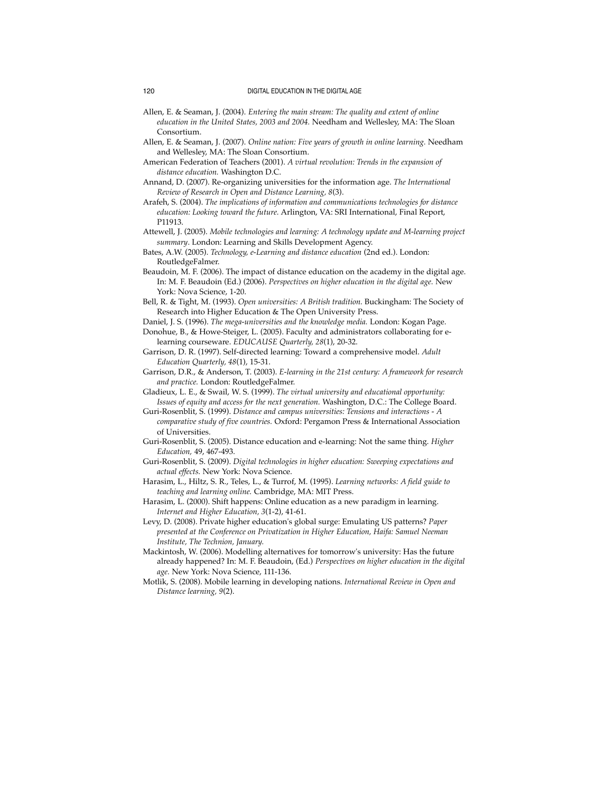- Allen, E. & Seaman, J. (2004). *Entering the main stream: The quality and extent of online education in the United States, 2003 and 2004.* Needham and Wellesley, MA: The Sloan Consortium.
- Allen, E. & Seaman, J. (2007). *Online nation: Five years of growth in online learning.* Needham and Wellesley, MA: The Sloan Consortium.
- American Federation of Teachers (2001). *A virtual revolution: Trends in the expansion of distance education.* Washington D.C.
- Annand, D. (2007). Re-organizing universities for the information age. *The International Review of Research in Open and Distance Learning, 8*(3).
- Arafeh, S. (2004). *The implications of information and communications technologies for distance education: Looking toward the future.* Arlington, VA: SRI International, Final Report, P11913.
- Attewell, J. (2005). *Mobile technologies and learning: A technology update and M-learning project summary*. London: Learning and Skills Development Agency.

Bates, A.W. (2005). *Technology, e-Learning and distance education* (2nd ed.). London: RoutledgeFalmer.

- Beaudoin, M. F. (2006). The impact of distance education on the academy in the digital age. In: M. F. Beaudoin (Ed.) (2006). *Perspectives on higher education in the digital age.* New York: Nova Science, 1-20.
- Bell, R. & Tight, M. (1993). *Open universities: A British tradition.* Buckingham: The Society of Research into Higher Education & The Open University Press.
- Daniel, J. S. (1996). *The mega-universities and the knowledge media.* London: Kogan Page. Donohue, B., & Howe-Steiger, L. (2005). Faculty and administrators collaborating for elearning courseware. *EDUCAUSE Quarterly, 28*(1), 20-32.

Garrison, D. R. (1997). Self-directed learning: Toward a comprehensive model. *Adult Education Quarterly, 48*(1), 15-31.

Garrison, D.R., & Anderson, T. (2003). *E-learning in the 21st century: A framework for research and practice.* London: RoutledgeFalmer.

Gladieux, L. E., & Swail, W. S. (1999). *The virtual university and educational opportunity: Issues of equity and access for the next generation.* Washington, D.C.: The College Board.

- Guri-Rosenblit, S. (1999). *Distance and campus universities: Tensions and interactions A comparative study of five countries.* Oxford: Pergamon Press & International Association of Universities.
- Guri-Rosenblit, S. (2005). Distance education and e-learning: Not the same thing. *Higher Education,* 49, 467-493.
- Guri-Rosenblit, S. (2009). *Digital technologies in higher education: Sweeping expectations and actual effects.* New York: Nova Science.

Harasim, L., Hiltz, S. R., Teles, L., & Turrof, M. (1995). *Learning networks: A field guide to teaching and learning online.* Cambridge, MA: MIT Press.

Harasim, L. (2000). Shift happens: Online education as a new paradigm in learning. *Internet and Higher Education, 3*(1-2), 41-61.

Levy, D. (2008). Private higher education's global surge: Emulating US patterns? *Paper presented at the Conference on Privatization in Higher Education, Haifa: Samuel Neeman Institute, The Technion, January.*

Mackintosh, W. (2006). Modelling alternatives for tomorrow's university: Has the future already happened? In: M. F. Beaudoin, (Ed.) *Perspectives on higher education in the digital age.* New York: Nova Science, 111-136.

Motlik, S. (2008). Mobile learning in developing nations. *International Review in Open and Distance learning, 9*(2).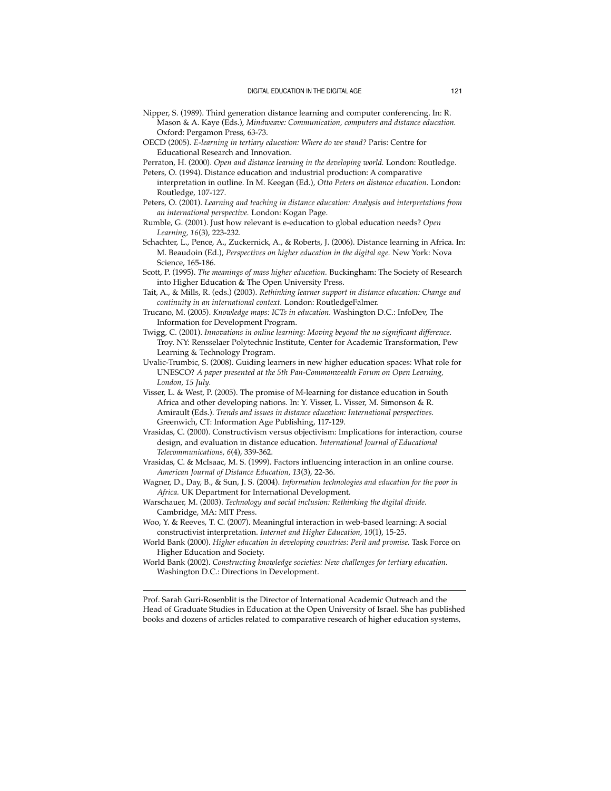- Nipper, S. (1989). Third generation distance learning and computer conferencing. In: R. Mason & A. Kaye (Eds.), *Mindweave: Communication, computers and distance education.* Oxford: Pergamon Press, 63-73.
- OECD (2005). *E-learning in tertiary education: Where do we stand?* Paris: Centre for Educational Research and Innovation.
- Perraton, H. (2000). *Open and distance learning in the developing world.* London: Routledge. Peters, O. (1994). Distance education and industrial production: A comparative
- interpretation in outline. In M. Keegan (Ed.), *Otto Peters on distance education.* London: Routledge, 107-127.
- Peters, O. (2001). *Learning and teaching in distance education: Analysis and interpretations from an international perspective.* London: Kogan Page.
- Rumble, G. (2001). Just how relevant is e-education to global education needs? *Open Learning, 16*(3), 223-232.
- Schachter, L., Pence, A., Zuckernick, A., & Roberts, J. (2006). Distance learning in Africa. In: M. Beaudoin (Ed.), *Perspectives on higher education in the digital age.* New York: Nova Science, 165-186.
- Scott, P. (1995). *The meanings of mass higher education.* Buckingham: The Society of Research into Higher Education & The Open University Press.
- Tait, A., & Mills, R. (eds.) (2003). *Rethinking learner support in distance education: Change and continuity in an international context.* London: RoutledgeFalmer.
- Trucano, M. (2005). *Knowledge maps: ICTs in education.* Washington D.C.: InfoDev, The Information for Development Program.
- Twigg, C. (2001). *Innovations in online learning: Moving beyond the no significant difference.* Troy. NY: Rensselaer Polytechnic Institute, Center for Academic Transformation, Pew Learning & Technology Program.
- Uvalic-Trumbic, S. (2008). Guiding learners in new higher education spaces: What role for UNESCO? *A paper presented at the 5th Pan-Commonwealth Forum on Open Learning, London, 15 July.*
- Visser, L. & West, P. (2005). The promise of M-learning for distance education in South Africa and other developing nations. In: Y. Visser, L. Visser, M. Simonson & R. Amirault (Eds.). *Trends and issues in distance education: International perspectives.* Greenwich, CT: Information Age Publishing, 117-129.
- Vrasidas, C. (2000). Constructivism versus objectivism: Implications for interaction, course design, and evaluation in distance education. *International Journal of Educational Telecommunications, 6*(4), 339-362.
- Vrasidas, C. & McIsaac, M. S. (1999). Factors influencing interaction in an online course. *American Journal of Distance Education, 13*(3), 22-36.
- Wagner, D., Day, B., & Sun, J. S. (2004). *Information technologies and education for the poor in Africa.* UK Department for International Development.
- Warschauer, M. (2003). *Technology and social inclusion: Rethinking the digital divide.* Cambridge, MA: MIT Press.
- Woo, Y. & Reeves, T. C. (2007). Meaningful interaction in web-based learning: A social constructivist interpretation. *Internet and Higher Education, 10*(1), 15-25.

World Bank (2000). *Higher education in developing countries: Peril and promise.* Task Force on Higher Education and Society.

World Bank (2002). *Constructing knowledge societies: New challenges for tertiary education.* Washington D.C.: Directions in Development.

Prof. Sarah Guri-Rosenblit is the Director of International Academic Outreach and the Head of Graduate Studies in Education at the Open University of Israel. She has published books and dozens of articles related to comparative research of higher education systems,